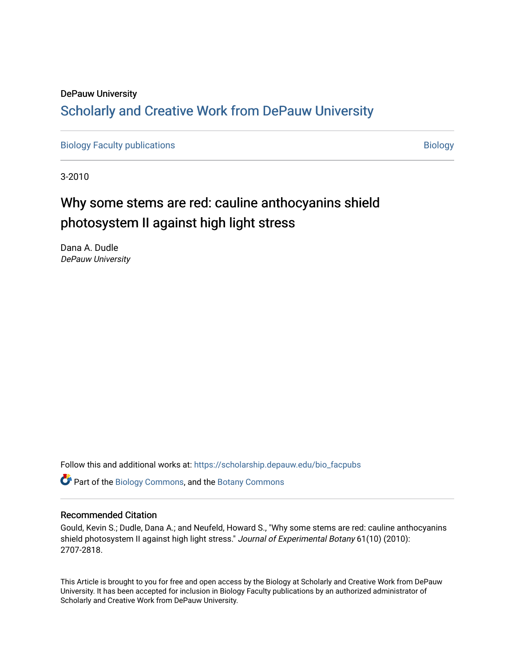# DePauw University Scholarly and [Creative Work from DePauw Univ](https://scholarship.depauw.edu/)ersity

[Biology Faculty publications](https://scholarship.depauw.edu/bio_facpubs) and the state of the state of the [Biology](https://scholarship.depauw.edu/biology) Biology

3-2010

# Why some stems are red: cauline anthocyanins shield photosystem II against high light stress

Dana A. Dudle DePauw University

Follow this and additional works at: [https://scholarship.depauw.edu/bio\\_facpubs](https://scholarship.depauw.edu/bio_facpubs?utm_source=scholarship.depauw.edu%2Fbio_facpubs%2F3&utm_medium=PDF&utm_campaign=PDFCoverPages)

**C** Part of the [Biology Commons,](https://network.bepress.com/hgg/discipline/41?utm_source=scholarship.depauw.edu%2Fbio_facpubs%2F3&utm_medium=PDF&utm_campaign=PDFCoverPages) and the [Botany Commons](https://network.bepress.com/hgg/discipline/104?utm_source=scholarship.depauw.edu%2Fbio_facpubs%2F3&utm_medium=PDF&utm_campaign=PDFCoverPages)

## Recommended Citation

Gould, Kevin S.; Dudle, Dana A.; and Neufeld, Howard S., "Why some stems are red: cauline anthocyanins shield photosystem II against high light stress." Journal of Experimental Botany 61(10) (2010): 2707-2818.

This Article is brought to you for free and open access by the Biology at Scholarly and Creative Work from DePauw University. It has been accepted for inclusion in Biology Faculty publications by an authorized administrator of Scholarly and Creative Work from DePauw University.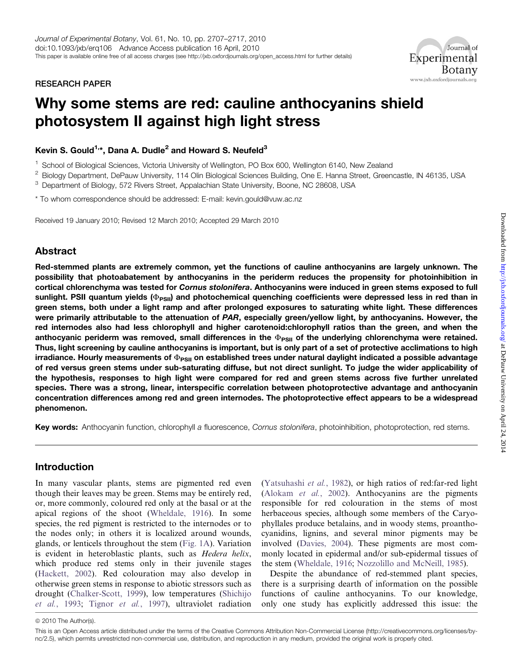RESEARCH PAPER

# Journal of Experimental **Botany** www.jxb.oxfordjournals.org

# Why some stems are red: cauline anthocyanins shield photosystem II against high light stress

Kevin S. Gould<sup>1,\*</sup>, Dana A. Dudle<sup>2</sup> and Howard S. Neufeld<sup>3</sup>

<sup>1</sup> School of Biological Sciences, Victoria University of Wellington, PO Box 600, Wellington 6140, New Zealand

<sup>2</sup> Biology Department, DePauw University, 114 Olin Biological Sciences Building, One E. Hanna Street, Greencastle, IN 46135, USA

<sup>3</sup> Department of Biology, 572 Rivers Street, Appalachian State University, Boone, NC 28608, USA

\* To whom correspondence should be addressed: E-mail: kevin.gould@vuw.ac.nz

Received 19 January 2010; Revised 12 March 2010; Accepted 29 March 2010

# Abstract

Red-stemmed plants are extremely common, yet the functions of cauline anthocyanins are largely unknown. The possibility that photoabatement by anthocyanins in the periderm reduces the propensity for photoinhibition in cortical chlorenchyma was tested for Cornus stolonifera. Anthocyanins were induced in green stems exposed to full sunlight. PSII quantum yields ( $\Phi_{PSII}$ ) and photochemical quenching coefficients were depressed less in red than in green stems, both under a light ramp and after prolonged exposures to saturating white light. These differences were primarily attributable to the attenuation of PAR, especially green/yellow light, by anthocyanins. However, the red internodes also had less chlorophyll and higher carotenoid:chlorophyll ratios than the green, and when the anthocyanic periderm was removed, small differences in the  $\Phi_{PSII}$  of the underlying chlorenchyma were retained. Thus, light screening by cauline anthocyanins is important, but is only part of a set of protective acclimations to high irradiance. Hourly measurements of  $\Phi_{PSII}$  on established trees under natural daylight indicated a possible advantage of red versus green stems under sub-saturating diffuse, but not direct sunlight. To judge the wider applicability of the hypothesis, responses to high light were compared for red and green stems across five further unrelated species. There was a strong, linear, interspecific correlation between photoprotective advantage and anthocyanin concentration differences among red and green internodes. The photoprotective effect appears to be a widespread phenomenon.

Key words: Anthocyanin function, chlorophyll a fluorescence, Cornus stolonifera, photoinhibition, photoprotection, red stems.

# Introduction

In many vascular plants, stems are pigmented red even though their leaves may be green. Stems may be entirely red, or, more commonly, coloured red only at the basal or at the apical regions of the shoot [\(Wheldale, 1916\)](#page-11-0). In some species, the red pigment is restricted to the internodes or to the nodes only; in others it is localized around wounds, glands, or lenticels throughout the stem (Fig. 1A). Variation is evident in heteroblastic plants, such as Hedera helix, which produce red stems only in their juvenile stages [\(Hackett, 2002](#page-11-0)). Red colouration may also develop in otherwise green stems in response to abiotic stressors such as drought ([Chalker-Scott, 1999](#page-10-0)), low temperatures [\(Shichijo](#page-11-0) et al.[, 1993](#page-11-0); Tignor et al.[, 1997](#page-11-0)), ultraviolet radiation

[\(Yatsuhashi](#page-11-0) et al., 1982), or high ratios of red:far-red light [\(Alokam](#page-10-0) et al., 2002). Anthocyanins are the pigments responsible for red colouration in the stems of most herbaceous species, although some members of the Caryophyllales produce betalains, and in woody stems, proanthocyanidins, lignins, and several minor pigments may be involved [\(Davies, 2004\)](#page-10-0). These pigments are most commonly located in epidermal and/or sub-epidermal tissues of the stem ([Wheldale, 1916;](#page-11-0) [Nozzolillo and McNeill, 1985\)](#page-11-0).

Despite the abundance of red-stemmed plant species, there is a surprising dearth of information on the possible functions of cauline anthocyanins. To our knowledge, only one study has explicitly addressed this issue: the

<sup>© 2010</sup> The Author(s).

This is an Open Access article distributed under the terms of the Creative Commons Attribution Non-Commercial License (http://creativecommons.org/licenses/bync/2.5), which permits unrestricted non-commercial use, distribution, and reproduction in any medium, provided the original work is properly cited.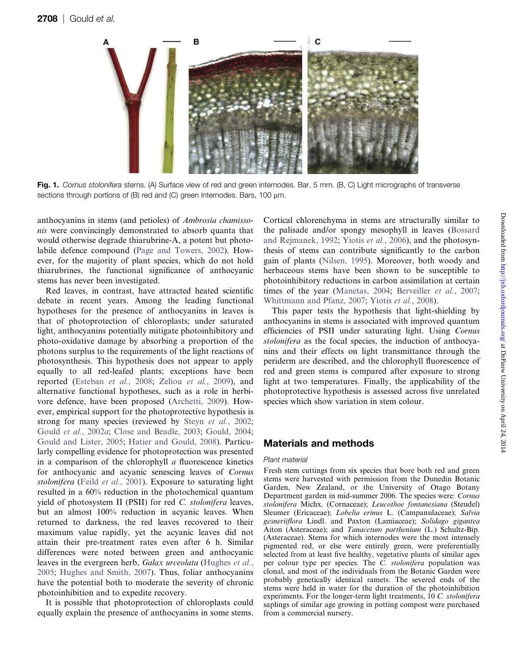

Fig. 1. Cornus stolonifera stems. (A) Surface view of red and green internodes. Bar, 5 mm. (B, C) Light micrographs of transverse sections through portions of (B) red and (C) green internodes. Bars, 100  $\mu$ m.

anthocyanins in stems (and petioles) of Ambrosia chamissonis were convincingly demonstrated to absorb quanta that would otherwise degrade thiarubrine-A, a potent but photolabile defence compound [\(Page and Towers, 2002](#page-11-0)). However, for the majority of plant species, which do not hold thiarubrines, the functional significance of anthocyanic stems has never been investigated.

Red leaves, in contrast, have attracted heated scientific debate in recent years. Among the leading functional hypotheses for the presence of anthocyanins in leaves is that of photoprotection of chloroplasts; under saturated light, anthocyanins potentially mitigate photoinhibitory and photo-oxidative damage by absorbing a proportion of the photons surplus to the requirements of the light reactions of photosynthesis. This hypothesis does not appear to apply equally to all red-leafed plants; exceptions have been reported [\(Esteban](#page-10-0) et al., 2008; Zeliou et al.[, 2009\)](#page-11-0), and alternative functional hypotheses, such as a role in herbivore defence, have been proposed ([Archetti, 2009](#page-10-0)). However, empirical support for the photoprotective hypothesis is strong for many species (reviewed by Steyn et al.[, 2002;](#page-11-0) [Gould](#page-10-0) et al., 2002a; [Close and Beadle, 2003](#page-10-0); [Gould, 2004;](#page-10-0) [Gould and Lister, 2005](#page-10-0); [Hatier and Gould, 2008](#page-11-0)). Particularly compelling evidence for photoprotection was presented in a comparison of the chlorophyll  $a$  fluorescence kinetics for anthocyanic and acyanic senescing leaves of Cornus stolonifera (Feild et al.[, 2001](#page-10-0)). Exposure to saturating light resulted in a 60% reduction in the photochemical quantum yield of photosystem II (PSII) for red C. stolonifera leaves, but an almost 100% reduction in acyanic leaves. When returned to darkness, the red leaves recovered to their maximum value rapidly, yet the acyanic leaves did not attain their pre-treatment rates even after 6 h. Similar differences were noted between green and anthocyanic leaves in the evergreen herb, Galax urceolata [\(Hughes](#page-11-0) et al., [2005](#page-11-0); [Hughes and Smith, 2007](#page-11-0)). Thus, foliar anthocyanins have the potential both to moderate the severity of chronic photoinhibition and to expedite recovery.

It is possible that photoprotection of chloroplasts could equally explain the presence of anthocyanins in some stems.

Cortical chlorenchyma in stems are structurally similar to the palisade and/or spongy mesophyll in leaves [\(Bossard](#page-10-0) [and Rejmanek, 1992](#page-10-0); Yiotis et al.[, 2006\)](#page-11-0), and the photosynthesis of stems can contribute significantly to the carbon gain of plants ([Nilsen, 1995](#page-11-0)). Moreover, both woody and herbaceous stems have been shown to be susceptible to photoinhibitory reductions in carbon assimilation at certain times of the year [\(Manetas, 2004;](#page-11-0) [Berveiller](#page-10-0) et al., 2007; [Whittmann and Pfanz, 2007](#page-11-0); [Yiotis](#page-11-0) et al., 2008).

This paper tests the hypothesis that light-shielding by anthocyanins in stems is associated with improved quantum efficiencies of PSII under saturating light. Using Cornus stolonifera as the focal species, the induction of anthocyanins and their effects on light transmittance through the periderm are described, and the chlorophyll fluorescence of red and green stems is compared after exposure to strong light at two temperatures. Finally, the applicability of the photoprotective hypothesis is assessed across five unrelated species which show variation in stem colour.

### Materials and methods

### Plant material

Fresh stem cuttings from six species that bore both red and green stems were harvested with permission from the Dunedin Botanic Garden, New Zealand, or the University of Otago Botany Department garden in mid-summer 2006. The species were: Cornus stolonifera Michx. (Cornaceae); Leucothoe fontanesiana (Steudel) Sleumer (Ericaceae); Lobelia erinus L. (Campanulaceae); Salvia gesneriiflora Lindl. and Paxton (Lamiaceae); Solidago gigantea Aiton (Asteraceae); and Tanacetum parthenium (L.) Schultz-Bip. (Asteraceae). Stems for which internodes were the most intensely pigmented red, or else were entirely green, were preferentially selected from at least five healthy, vegetative plants of similar ages per colour type per species. The C. stolonifera population was clonal, and most of the individuals from the Botanic Garden were probably genetically identical ramets. The severed ends of the stems were held in water for the duration of the photoinhibition experiments. For the longer-term light treatments, 10 C. stolonifera saplings of similar age growing in potting compost were purchased from a commercial nursery.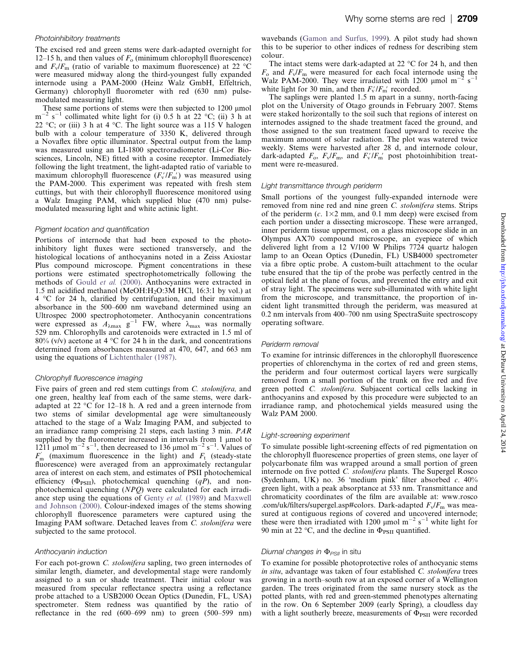#### Photoinhibitory treatments

The excised red and green stems were dark-adapted overnight for 12–15 h, and then values of  $F<sub>o</sub>$  (minimum chlorophyll fluorescence) and  $F_v/F_m$  (ratio of variable to maximum fluorescence) at 22 °C were measured midway along the third-youngest fully expanded internode using a PAM-2000 (Heinz Walz GmbH, Effeltrich, Germany) chlorophyll fluorometer with red (630 nm) pulsemodulated measuring light.

These same portions of stems were then subjected to  $1200 \mu$  mol  $m^{-2}$  s<sup>-1</sup> collimated white light for (i) 0.5 h at 22 °C; (ii) 3 h at 22 °C; or (iii) 3 h at 4 °C. The light source was a 115 V halogen bulb with a colour temperature of 3350 K, delivered through a Novaflex fibre optic illuminator. Spectral output from the lamp was measured using an LI-1800 spectroradiometer (Li-Cor Biosciences, Lincoln, NE) fitted with a cosine receptor. Immediately following the light treatment, the light-adapted ratio of variable to maximum chlorophyll fluorescence  $(F_v/F_m')$  was measured using the PAM-2000. This experiment was repeated with fresh stem cuttings, but with their chlorophyll fluorescence monitored using a Walz Imaging PAM, which supplied blue (470 nm) pulsemodulated measuring light and white actinic light.

#### Pigment location and quantification

Portions of internode that had been exposed to the photoinhibitory light fluxes were sectioned transversely, and the histological locations of anthocyanins noted in a Zeiss Axiostar Plus compound microscope. Pigment concentrations in these portions were estimated spectrophotometrically following the methods of [Gould](#page-10-0) et al. (2000). Anthocyanins were extracted in 1.5 ml acidified methanol (MeOH:H<sub>2</sub>O:3M HCl, 16:3:1 by vol.) at  $4 °C$  for 24 h, clarified by centrifugation, and their maximum absorbance in the 500–600 nm waveband determined using an Ultrospec 2000 spectrophotometer. Anthocyanin concentrations were expressed as  $A_{\lambda max}$  g<sup>-1</sup> FW, where  $\lambda_{max}$  was normally 529 nm. Chlorophylls and carotenoids were extracted in 1.5 ml of 80% (v/v) acetone at 4  $\rm{^{\circ}C}$  for 24 h in the dark, and concentrations determined from absorbances measured at 470, 647, and 663 nm using the equations of [Lichtenthaler \(1987\).](#page-11-0)

#### Chlorophyll fluorescence imaging

Five pairs of green and red stem cuttings from C. *stolonifera*, and one green, healthy leaf from each of the same stems, were darkadapted at  $22 \text{ °C}$  for 12–18 h. A red and a green internode from two stems of similar developmental age were simultaneously attached to the stage of a Walz Imaging PAM, and subjected to an irradiance ramp comprising 21 steps, each lasting 3 min. PAR supplied by the fluorometer increased in intervals from  $1 \mu$ mol to 1211 µmol m<sup>-2</sup> s<sup>-1</sup>, then decreased to 136 µmol m<sup>-2</sup> s<sup>-1</sup>. Values of  $F_{\text{m}}$  (maximum fluorescence in the light) and  $F_{\text{t}}$  (steady-state fluorescence) were averaged from an approximately rectangular area of interest on each stem, and estimates of PSII photochemical efficiency ( $\Phi_{PSII}$ ), photochemical quenching ( $qP$ ), and nonphotochemical quenching (NPQ) were calculated for each irradiance step using the equations of Genty et al. [\(1989\)](#page-10-0) and [Maxwell](#page-11-0) [and Johnson \(2000\).](#page-11-0) Colour-indexed images of the stems showing chlorophyll fluorescence parameters were captured using the Imaging PAM software. Detached leaves from C. stolonifera were subjected to the same protocol.

#### Anthocyanin induction

For each pot-grown *C. stolonifera* sapling, two green internodes of similar length, diameter, and developmental stage were randomly assigned to a sun or shade treatment. Their initial colour was measured from specular reflectance spectra using a reflectance probe attached to a USB2000 Ocean Optics (Dunedin, FL, USA) spectrometer. Stem redness was quantified by the ratio of reflectance in the red (600–699 nm) to green (500–599 nm)

wavebands ([Gamon and Surfus, 1999](#page-10-0)). A pilot study had shown this to be superior to other indices of redness for describing stem colour.

The intact stems were dark-adapted at  $22 \text{ °C}$  for  $24$  h, and then  $F_{\rm o}$  and  $F_{\rm v}/F_{\rm m}$  were measured for each focal internode using the Walz PAM-2000. They were irradiated with 1200 umol m<sup>-2</sup> s<sup>-1</sup> Walz PAM-2000. They were irradiated with 1200  $\mu$ mol m<sup>-3</sup> white light for 30 min, and then  $F_v/F_m'$  recorded.

The saplings were planted 1.5 m apart in a sunny, north-facing plot on the University of Otago grounds in February 2007. Stems were staked horizontally to the soil such that regions of interest on internodes assigned to the shade treatment faced the ground, and those assigned to the sun treatment faced upward to receive the maximum amount of solar radiation. The plot was watered twice weekly. Stems were harvested after 28 d, and internode colour, dark-adapted  $F_o$ ,  $F_v/F_m$ , and  $F_v/F_m'$  post photoinhibition treatment were re-measured.

#### Light transmittance through periderm

Small portions of the youngest fully-expanded internode were removed from nine red and nine green C. stolonifera stems. Strips of the periderm  $(c. 1 \times 2 \text{ mm})$ , and 0.1 mm deep) were excised from each portion under a dissecting microscope. These were arranged, inner periderm tissue uppermost, on a glass microscope slide in an Olympus AX70 compound microscope, an eyepiece of which delivered light from a 12 V/100 W Philips 7724 quartz halogen lamp to an Ocean Optics (Dunedin, FL) USB4000 spectrometer via a fibre optic probe. A custom-built attachment to the ocular tube ensured that the tip of the probe was perfectly centred in the optical field at the plane of focus, and prevented the entry and exit of stray light. The specimens were sub-illuminated with white light from the microscope, and transmittance, the proportion of incident light transmitted through the periderm, was measured at 0.2 nm intervals from 400–700 nm using SpectraSuite spectroscopy operating software.

#### Periderm removal

To examine for intrinsic differences in the chlorophyll fluorescence properties of chlorenchyma in the cortex of red and green stems, the periderm and four outermost cortical layers were surgically removed from a small portion of the trunk on five red and five green potted C. stolonifera. Subjacent cortical cells lacking in anthocyanins and exposed by this procedure were subjected to an irradiance ramp, and photochemical yields measured using the Walz PAM 2000.

#### Light-screening experiment

To simulate possible light-screening effects of red pigmentation on the chlorophyll fluorescence properties of green stems, one layer of polycarbonate film was wrapped around a small portion of green internode on five potted C. stolonifera plants. The Supergel Rosco (Sydenham, UK) no. 36 'medium pink' filter absorbed c. 40% green light, with a peak absorptance at 533 nm. Transmittance and chromaticity coordinates of the film are available at: [www.rosco](www.rosco.com/uk/filters/supergel.asp#colors) [.com/uk/filters/supergel.asp#colors](www.rosco.com/uk/filters/supergel.asp#colors). Dark-adapted  $F_v/F_m$  was measured at contiguous regions of covered and uncovered internode; these were then irradiated with 1200  $\mu$ mol m<sup>-2</sup> s<sup>-1</sup> white light for 90 min at 22 °C, and the decline in  $\Phi_{PSII}$  quantified.

#### Diurnal changes in  $\Phi_{PSII}$  in situ

To examine for possible photoprotective roles of anthocyanic stems in situ, advantage was taken of four established C. stolonifera trees growing in a north–south row at an exposed corner of a Wellington garden. The trees originated from the same nursery stock as the potted plants, with red and green-stemmed phenotypes alternating in the row. On 6 September 2009 (early Spring), a cloudless day with a light southerly breeze, measurements of  $\Phi_{PSII}$  were recorded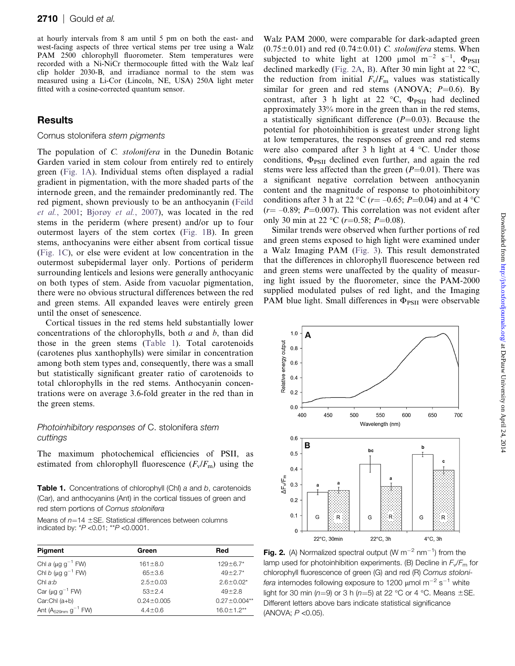<span id="page-4-0"></span>at hourly intervals from 8 am until 5 pm on both the east- and west-facing aspects of three vertical stems per tree using a Walz PAM 2500 chlorophyll fluorometer. Stem temperatures were recorded with a Ni-NiCr thermocouple fitted with the Walz leaf clip holder 2030-B, and irradiance normal to the stem was measured using a Li-Cor (Lincoln, NE, USA) 250A light meter fitted with a cosine-corrected quantum sensor.

# **Results**

### Cornus stolonifera stem pigments

The population of *C. stolonifera* in the Dunedin Botanic Garden varied in stem colour from entirely red to entirely green (Fig. 1A). Individual stems often displayed a radial gradient in pigmentation, with the more shaded parts of the internode green, and the remainder predominantly red. The red pigment, shown previously to be an anthocyanin [\(Feild](#page-10-0) et al.[, 2001](#page-10-0); [Bjorøy](#page-10-0) et al., 2007), was located in the red stems in the periderm (where present) and/or up to four outermost layers of the stem cortex (Fig. 1B). In green stems, anthocyanins were either absent from cortical tissue (Fig. 1C), or else were evident at low concentration in the outermost subepidermal layer only. Portions of periderm surrounding lenticels and lesions were generally anthocyanic on both types of stem. Aside from vacuolar pigmentation, there were no obvious structural differences between the red and green stems. All expanded leaves were entirely green until the onset of senescence.

Cortical tissues in the red stems held substantially lower concentrations of the chlorophylls, both a and b, than did those in the green stems (Table 1). Total carotenoids (carotenes plus xanthophylls) were similar in concentration among both stem types and, consequently, there was a small but statistically significant greater ratio of carotenoids to total chlorophylls in the red stems. Anthocyanin concentrations were on average 3.6-fold greater in the red than in the green stems.

## Photoinhibitory responses of C. stolonifera stem cuttings

The maximum photochemical efficiencies of PSII, as estimated from chlorophyll fluorescence  $(F_v/F_m)$  using the

Table 1. Concentrations of chlorophyll (Chl) a and b, carotenoids (Car), and anthocyanins (Ant) in the cortical tissues of green and red stem portions of Cornus stolonifera

Means of  $n=14 \pm$ SE. Statistical differences between columns indicated by: \*P <0.01; \*\*P <0.0001.

| <b>Pigment</b>                                                             | Green            | Red                |  |
|----------------------------------------------------------------------------|------------------|--------------------|--|
|                                                                            | $161 \pm 8.0$    | $129 \pm 6.7$ *    |  |
| Chl a ( $\mu$ g g <sup>-1</sup> FW)<br>Chl b ( $\mu$ g g <sup>-1</sup> FW) | $65 \pm 3.6$     | $49\pm2.7*$        |  |
| Chl $a:b$                                                                  | $2.5 \pm 0.03$   | $2.6 \pm 0.02^*$   |  |
| Car ( $\mu$ g g <sup>-1</sup> FW)                                          | $53 \pm 2.4$     | $49 + 2.8$         |  |
| $Car:ChI (a+b)$                                                            | $0.24 \pm 0.005$ | $0.27 \pm 0.004**$ |  |
| Ant ( $A_{529nm}$ g <sup>-1</sup> FW)                                      | $4.4 \pm 0.6$    | $16.0 \pm 1.2**$   |  |

Walz PAM 2000, were comparable for dark-adapted green  $(0.75\pm0.01)$  and red  $(0.74\pm0.01)$  C. stolonifera stems. When subjected to white light at 1200  $\mu$ mol m<sup>-2</sup> s<sup>-1</sup>,  $\Phi_{PSII}$ declined markedly (Fig. 2A, B). After 30 min light at 22  $^{\circ}C$ , the reduction from initial  $F_v/F_m$  values was statistically similar for green and red stems (ANOVA;  $P=0.6$ ). By contrast, after 3 h light at 22 °C,  $\Phi_{PSII}$  had declined approximately 33% more in the green than in the red stems, a statistically significant difference  $(P=0.03)$ . Because the potential for photoinhibition is greatest under strong light at low temperatures, the responses of green and red stems were also compared after 3 h light at  $4^{\circ}$ C. Under those conditions,  $\Phi_{PSII}$  declined even further, and again the red stems were less affected than the green  $(P=0.01)$ . There was a significant negative correlation between anthocyanin content and the magnitude of response to photoinhibitory conditions after 3 h at 22 °C ( $r = -0.65$ ;  $P = 0.04$ ) and at 4 °C  $(r = -0.89; P = 0.007)$ . This correlation was not evident after only 30 min at 22 °C ( $r=0.58$ ;  $P=0.08$ ).

Similar trends were observed when further portions of red and green stems exposed to high light were examined under a Walz Imaging PAM (Fig. 3). This result demonstrated that the differences in chlorophyll fluorescence between red and green stems were unaffected by the quality of measuring light issued by the fluorometer, since the PAM-2000 supplied modulated pulses of red light, and the Imaging PAM blue light. Small differences in  $\Phi_{PSII}$  were observable



Fig. 2. (A) Normalized spectral output (W  $\text{m}^{-2}$  nm<sup>-1</sup>) from the lamp used for photoinhibition experiments. (B) Decline in  $F_v/F_m$  for chlorophyll fluorescence of green (G) and red (R) Cornus stoloni*fera* internodes following exposure to 1200  $\mu$ mol m<sup>-2</sup> s<sup>-1</sup> white light for 30 min ( $n=9$ ) or 3 h ( $n=5$ ) at 22 °C or 4 °C. Means  $\pm$ SE. Different letters above bars indicate statistical significance (ANOVA; P <0.05).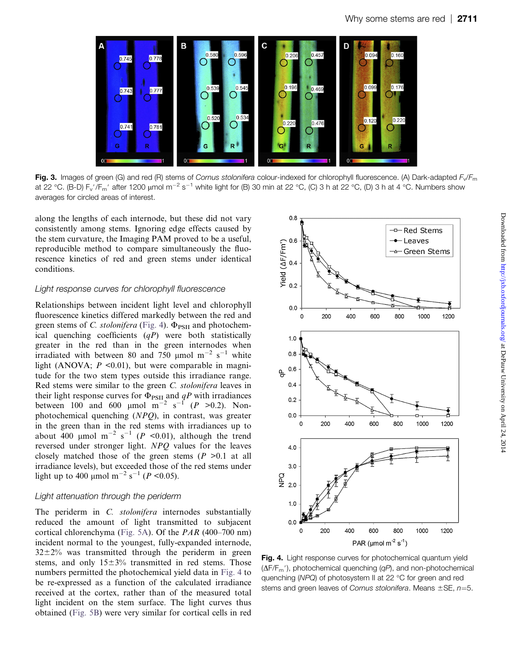

Fig. 3. Images of green (G) and red (R) stems of Cornus stolonifera colour-indexed for chlorophyll fluorescence. (A) Dark-adapted  $F_v/F_m$ at 22 °C. (B-D) F<sub>v</sub> $^{\prime}$ /F<sub>m</sub> $^{\prime}$  after 1200 µmol m<sup>-2</sup> s<sup>-1</sup> white light for (B) 30 min at 22 °C, (C) 3 h at 22 °C, (D) 3 h at 4 °C. Numbers show averages for circled areas of interest.

along the lengths of each internode, but these did not vary consistently among stems. Ignoring edge effects caused by the stem curvature, the Imaging PAM proved to be a useful, reproducible method to compare simultaneously the fluorescence kinetics of red and green stems under identical conditions.

### Light response curves for chlorophyll fluorescence

Relationships between incident light level and chlorophyll fluorescence kinetics differed markedly between the red and green stems of C. stolonifera (Fig. 4).  $\Phi_{\text{PSII}}$  and photochemical quenching coefficients  $(qP)$  were both statistically greater in the red than in the green internodes when irradiated with between 80 and 750  $\mu$ mol m<sup>-2</sup> s<sup>-1</sup> white light (ANOVA;  $P \leq 0.01$ ), but were comparable in magnitude for the two stem types outside this irradiance range. Red stems were similar to the green C. stolonifera leaves in their light response curves for  $\Phi_{\text{PSII}}$  and  $qP$  with irradiances between 100 and 600 µmol  $m^{-2} s^{-1}$  (P >0.2). Nonphotochemical quenching (NPQ), in contrast, was greater in the green than in the red stems with irradiances up to about 400 µmol m<sup>-2</sup> s<sup>-1</sup> (P <0.01), although the trend reversed under stronger light. NPQ values for the leaves closely matched those of the green stems  $(P > 0.1$  at all irradiance levels), but exceeded those of the red stems under light up to 400  $\mu$ mol m<sup>-2</sup> s<sup>-1</sup> (*P* <0.05).

### Light attenuation through the periderm

The periderm in C. *stolonifera* internodes substantially reduced the amount of light transmitted to subjacent cortical chlorenchyma (Fig. 5A). Of the PAR (400–700 nm) incident normal to the youngest, fully-expanded internode,  $32\pm2\%$  was transmitted through the periderm in green stems, and only  $15\pm3\%$  transmitted in red stems. Those numbers permitted the photochemical yield data in Fig. 4 to be re-expressed as a function of the calculated irradiance received at the cortex, rather than of the measured total light incident on the stem surface. The light curves thus obtained (Fig. 5B) were very similar for cortical cells in red



Fig. 4. Light response curves for photochemical quantum yield  $(\Delta F/F_{m})$ , photochemical quenching (qP), and non-photochemical quenching (NPQ) of photosystem II at 22 °C for green and red stems and green leaves of Cornus stolonifera. Means  $\pm$ SE, n=5.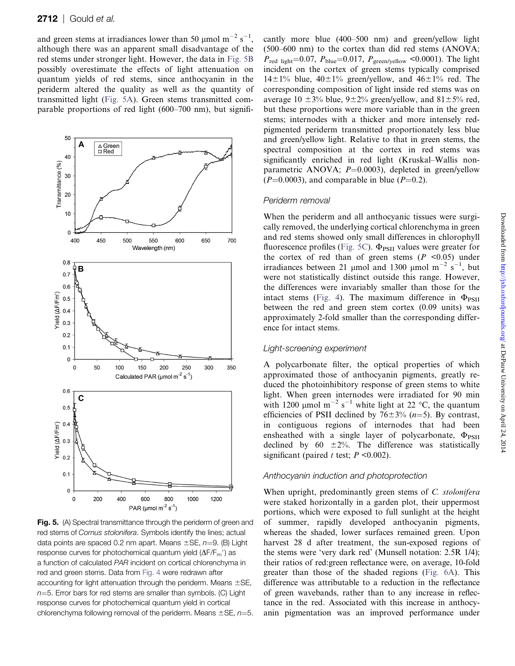and green stems at irradiances lower than 50 µmol m<sup>-2</sup> s<sup>-1</sup>, although there was an apparent small disadvantage of the red stems under stronger light. However, the data in Fig. 5B possibly overestimate the effects of light attenuation on quantum yields of red stems, since anthocyanin in the periderm altered the quality as well as the quantity of transmitted light (Fig. 5A). Green stems transmitted comparable proportions of red light (600–700 nm), but signifi-



Fig. 5. (A) Spectral transmittance through the periderm of green and red stems of Cornus stolonifera. Symbols identify the lines; actual data points are spaced 0.2 nm apart. Means  $\pm$ SE, n=9. (B) Light response curves for photochemical quantum yield  $(\Delta F/F_m')$  as a function of calculated PAR incident on cortical chlorenchyma in red and green stems. Data from Fig. 4 were redrawn after accounting for light attenuation through the periderm. Means  $\pm$ SE,  $n=5$ . Error bars for red stems are smaller than symbols. (C) Light response curves for photochemical quantum yield in cortical chlorenchyma following removal of the periderm. Means  $\pm$ SE,  $n=5$ .

cantly more blue (400–500 nm) and green/yellow light (500–600 nm) to the cortex than did red stems (ANOVA;  $P_{\text{red light}}$ =0.07,  $P_{\text{blue}}$ =0.017,  $P_{\text{green/yellow}}$  <0.0001). The light incident on the cortex of green stems typically comprised  $14\pm1\%$  blue,  $40\pm1\%$  green/yellow, and  $46\pm1\%$  red. The corresponding composition of light inside red stems was on average 10  $\pm$ 3% blue, 9 $\pm$ 2% green/yellow, and 81 $\pm$ 5% red, but these proportions were more variable than in the green stems; internodes with a thicker and more intensely redpigmented periderm transmitted proportionately less blue and green/yellow light. Relative to that in green stems, the spectral composition at the cortex in red stems was significantly enriched in red light (Kruskal–Wallis nonparametric ANOVA;  $P=0.0003$ ), depleted in green/yellow  $(P=0.0003)$ , and comparable in blue  $(P=0.2)$ .

#### Periderm removal

When the periderm and all anthocyanic tissues were surgically removed, the underlying cortical chlorenchyma in green and red stems showed only small differences in chlorophyll fluorescence profiles (Fig. 5C).  $\Phi_{\text{PSII}}$  values were greater for the cortex of red than of green stems  $(P \le 0.05)$  under irradiances between 21 µmol and 1300 µmol m<sup>-2</sup> s<sup>-1</sup>, but were not statistically distinct outside this range. However, the differences were invariably smaller than those for the intact stems (Fig. 4). The maximum difference in  $\Phi_{PSII}$ between the red and green stem cortex (0.09 units) was approximately 2-fold smaller than the corresponding difference for intact stems.

### Light-screening experiment

A polycarbonate filter, the optical properties of which approximated those of anthocyanin pigments, greatly reduced the photoinhibitory response of green stems to white light. When green internodes were irradiated for 90 min with 1200  $\mu$ mol m<sup>-2</sup> s<sup>-1</sup> white light at 22 °C, the quantum efficiencies of PSII declined by  $76\pm3\%$  (n=5). By contrast, in contiguous regions of internodes that had been ensheathed with a single layer of polycarbonate,  $\Phi_{PSII}$ declined by 60  $\pm$ 2%. The difference was statistically significant (paired t test;  $P \le 0.002$ ).

#### Anthocyanin induction and photoprotection

When upright, predominantly green stems of C. stolonifera were staked horizontally in a garden plot, their uppermost portions, which were exposed to full sunlight at the height of summer, rapidly developed anthocyanin pigments, whereas the shaded, lower surfaces remained green. Upon harvest 28 d after treatment, the sun-exposed regions of the stems were 'very dark red' (Munsell notation: 2.5R 1/4); their ratios of red:green reflectance were, on average, 10-fold greater than those of the shaded regions (Fig. 6A). This difference was attributable to a reduction in the reflectance of green wavebands, rather than to any increase in reflectance in the red. Associated with this increase in anthocyanin pigmentation was an improved performance under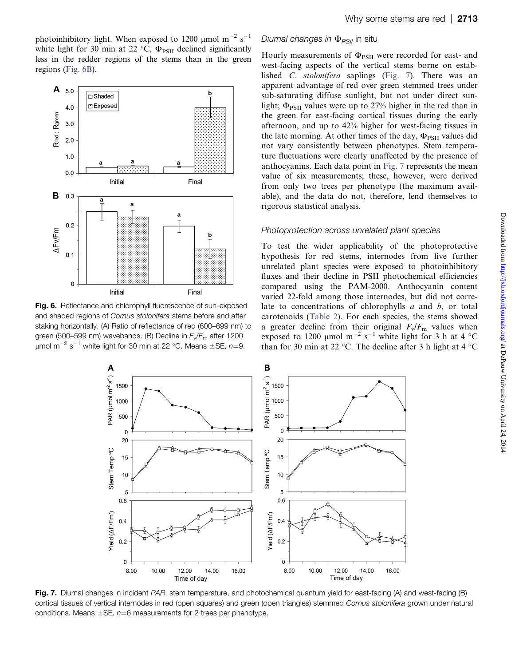photoinhibitory light. When exposed to 1200  $\mu$ mol m<sup>-2</sup> s<sup>-1</sup> white light for 30 min at 22 °C,  $\Phi_{PSII}$  declined significantly less in the redder regions of the stems than in the green regions (Fig. 6B).



Fig. 6. Reflectance and chlorophyll fluorescence of sun-exposed and shaded regions of Cornus stolonifera stems before and after staking horizontally. (A) Ratio of reflectance of red (600–699 nm) to green (500–599 nm) wavebands. (B) Decline in  $F_v/F_m$  after 1200 umol m<sup>-2</sup> s<sup>-1</sup> white light for 30 min at 22 °C. Means  $\pm$  SE, n=9.

### Diurnal changes in  $\Phi_{PSII}$  in situ

Hourly measurements of  $\Phi_{PSII}$  were recorded for east- and west-facing aspects of the vertical stems borne on established C. stolonifera saplings (Fig. 7). There was an apparent advantage of red over green stemmed trees under sub-saturating diffuse sunlight, but not under direct sunlight;  $\Phi_{PSII}$  values were up to 27% higher in the red than in the green for east-facing cortical tissues during the early afternoon, and up to 42% higher for west-facing tissues in the late morning. At other times of the day,  $\Phi_{PSII}$  values did not vary consistently between phenotypes. Stem temperature fluctuations were clearly unaffected by the presence of anthocyanins. Each data point in Fig. 7 represents the mean value of six measurements; these, however, were derived from only two trees per phenotype (the maximum available), and the data do not, therefore, lend themselves to rigorous statistical analysis.

### Photoprotection across unrelated plant species

To test the wider applicability of the photoprotective hypothesis for red stems, internodes from five further unrelated plant species were exposed to photoinhibitory fluxes and their decline in PSII photochemical efficiencies compared using the PAM-2000. Anthocyanin content varied 22-fold among those internodes, but did not correlate to concentrations of chlorophylls  $a$  and  $b$ , or total carotenoids ([Table 2](#page-8-0)). For each species, the stems showed a greater decline from their original  $F_v/F_m$  values when exposed to 1200 µmol m<sup>-2</sup> s<sup>-1</sup> white light for 3 h at 4 °C than for 30 min at 22 °C. The decline after 3 h light at 4 °C



Fig. 7. Diurnal changes in incident PAR, stem temperature, and photochemical quantum yield for east-facing (A) and west-facing (B) cortical tissues of vertical internodes in red (open squares) and green (open triangles) stemmed Cornus stolonifera grown under natural conditions. Means  $\pm$ SE,  $n=6$  measurements for 2 trees per phenotype.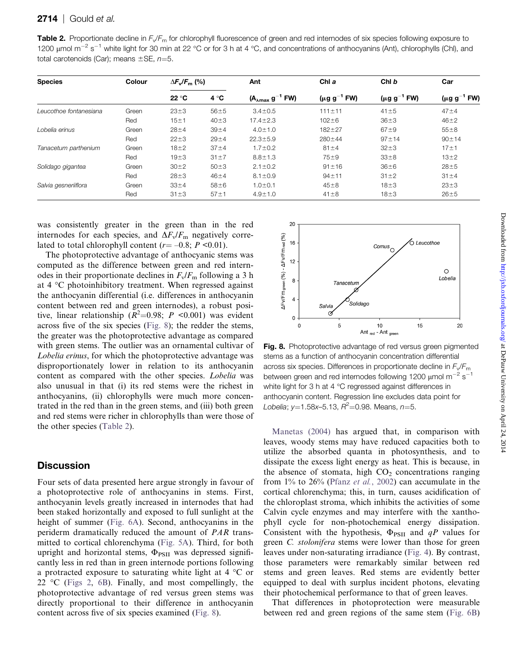<span id="page-8-0"></span>Table 2. Proportionate decline in  $F_v/F_m$  for chlorophyll fluorescence of green and red internodes of six species following exposure to 1200  $\mu$ mol m<sup>-2</sup> s<sup>-1</sup> white light for 30 min at 22 °C or for 3 h at 4 °C, and concentrations of anthocyanins (Ant), chlorophylls (Chl), and total carotenoids (Car); means  $\pm$ SE, n=5.

| <b>Species</b>         | Colour | $\Delta F_v/F_m$ (%) |            | Ant                           | ChIa                    | Chl b                         | Car                           |
|------------------------|--------|----------------------|------------|-------------------------------|-------------------------|-------------------------------|-------------------------------|
|                        |        | $22^{\circ}$ C       | 4 °C       | $(A_{\lambda max} g^{-1}$ FW) | ( $\mu$ g g $^{-1}$ FW) | ( $\mu$ g g <sup>-1</sup> FW) | ( $\mu$ g g <sup>-1</sup> FW) |
| Leucothoe fontanesiana | Green  | $23+3$               | $56 + 5$   | $3.4 \pm 0.5$                 | $111 \pm 11$            | $41 \pm 5$                    | $47 + 4$                      |
|                        | Red    | $15 + 1$             | $40 \pm 3$ | $17.4 \pm 2.3$                | $102 \pm 6$             | $36\pm3$                      | $46 + 2$                      |
| Lobelia erinus         | Green  | $28 + 4$             | $39 + 4$   | $4.0 \pm 1.0$                 | $182 + 27$              | $67 + 9$                      | $55 \pm 8$                    |
|                        | Red    | $22 \pm 3$           | $29 + 4$   | $22.3 \pm 5.9$                | $280 \pm 44$            | $97 + 14$                     | $90 \pm 14$                   |
| Tanacetum parthenium   | Green  | $18 + 2$             | $37 + 4$   | $1.7 \pm 0.2$                 | $81 + 4$                | $32\pm3$                      | $17 + 1$                      |
|                        | Red    | $19\pm3$             | $31 + 7$   | $8.8 \pm 1.3$                 | $75 + 9$                | $33\pm8$                      | $13\pm2$                      |
| Solidago gigantea      | Green  | $30 + 2$             | $50 + 3$   | $2.1 \pm 0.2$                 | $91 \pm 16$             | $36 \pm 6$                    | $28 + 5$                      |
|                        | Red    | $28 + 3$             | $46 + 4$   | $8.1 \pm 0.9$                 | $94 + 11$               | $31 \pm 2$                    | $31 \pm 4$                    |
| Salvia gesneriiflora   | Green  | $33 + 4$             | $58 + 6$   | $1.0 \pm 0.1$                 | $45 + 8$                | $18\pm3$                      | $23 + 3$                      |
|                        | Red    | $31 \pm 3$           | $57 + 1$   | $4.9 \pm 1.0$                 | $41 \pm 8$              | $18\pm3$                      | $26 + 5$                      |

was consistently greater in the green than in the red internodes for each species, and  $\Delta F_v/F_m$  negatively correlated to total chlorophyll content  $(r = -0.8; P \le 0.01)$ .

The photoprotective advantage of anthocyanic stems was computed as the difference between green and red internodes in their proportionate declines in  $F_v/F_m$  following a 3 h at  $4^{\circ}$ C photoinhibitory treatment. When regressed against the anthocyanin differential (i.e. differences in anthocyanin content between red and green internodes), a robust positive, linear relationship ( $\overline{R^2}$ =0.98; P <0.001) was evident across five of the six species (Fig. 8); the redder the stems, the greater was the photoprotective advantage as compared with green stems. The outlier was an ornamental cultivar of Lobelia erinus, for which the photoprotective advantage was disproportionately lower in relation to its anthocyanin content as compared with the other species. Lobelia was also unusual in that (i) its red stems were the richest in anthocyanins, (ii) chlorophylls were much more concentrated in the red than in the green stems, and (iii) both green and red stems were richer in chlorophylls than were those of the other species (Table 2).

# **Discussion**

Four sets of data presented here argue strongly in favour of a photoprotective role of anthocyanins in stems. First, anthocyanin levels greatly increased in internodes that had been staked horizontally and exposed to full sunlight at the height of summer (Fig. 6A). Second, anthocyanins in the periderm dramatically reduced the amount of PAR transmitted to cortical chlorenchyma (Fig. 5A). Third, for both upright and horizontal stems,  $\Phi_{\text{PSII}}$  was depressed significantly less in red than in green internode portions following a protracted exposure to saturating white light at  $4 \degree C$  or  $22 \text{ °C}$  (Figs 2, 6B). Finally, and most compellingly, the photoprotective advantage of red versus green stems was directly proportional to their difference in anthocyanin content across five of six species examined (Fig. 8).



Fig. 8. Photoprotective advantage of red versus green pigmented stems as a function of anthocyanin concentration differential across six species. Differences in proportionate decline in  $F_{\vee}/F_{\rm m}$ between green and red internodes following 1200  $\mu$ mol m<sup>-2</sup> s<sup>-1</sup> white light for 3 h at 4  $^{\circ}$ C regressed against differences in anthocyanin content. Regression line excludes data point for Lobelia; y=1.58x–5.13,  $R^2$ =0.98. Means, n=5.

[Manetas \(2004\)](#page-11-0) has argued that, in comparison with leaves, woody stems may have reduced capacities both to utilize the absorbed quanta in photosynthesis, and to dissipate the excess light energy as heat. This is because, in the absence of stomata, high  $CO<sub>2</sub>$  concentrations ranging from 1% to 26% (Pfanz et al.[, 2002](#page-11-0)) can accumulate in the cortical chlorenchyma; this, in turn, causes acidification of the chloroplast stroma, which inhibits the activities of some Calvin cycle enzymes and may interfere with the xanthophyll cycle for non-photochemical energy dissipation. Consistent with the hypothesis,  $\Phi_{PSII}$  and  $qP$  values for green C. stolonifera stems were lower than those for green leaves under non-saturating irradiance (Fig. 4). By contrast, those parameters were remarkably similar between red stems and green leaves. Red stems are evidently better equipped to deal with surplus incident photons, elevating their photochemical performance to that of green leaves.

That differences in photoprotection were measurable between red and green regions of the same stem (Fig. 6B)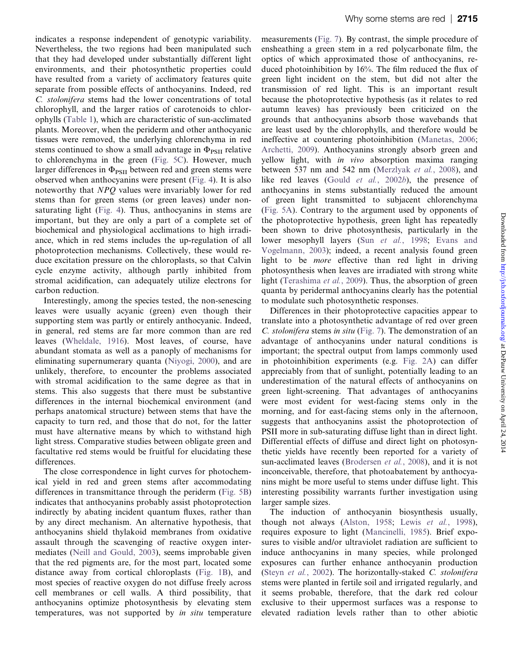indicates a response independent of genotypic variability. Nevertheless, the two regions had been manipulated such that they had developed under substantially different light environments, and their photosynthetic properties could have resulted from a variety of acclimatory features quite separate from possible effects of anthocyanins. Indeed, red C. stolonifera stems had the lower concentrations of total chlorophyll, and the larger ratios of carotenoids to chlorophylls ([Table 1\)](#page-4-0), which are characteristic of sun-acclimated plants. Moreover, when the periderm and other anthocyanic tissues were removed, the underlying chlorenchyma in red stems continued to show a small advantage in  $\Phi_{PSII}$  relative to chlorenchyma in the green (Fig. 5C). However, much larger differences in  $\Phi_{PSII}$  between red and green stems were observed when anthocyanins were present (Fig. 4). It is also noteworthy that NPQ values were invariably lower for red stems than for green stems (or green leaves) under nonsaturating light (Fig. 4). Thus, anthocyanins in stems are important, but they are only a part of a complete set of biochemical and physiological acclimations to high irradiance, which in red stems includes the up-regulation of all photoprotection mechanisms. Collectively, these would reduce excitation pressure on the chloroplasts, so that Calvin cycle enzyme activity, although partly inhibited from stromal acidification, can adequately utilize electrons for carbon reduction.

Interestingly, among the species tested, the non-senescing leaves were usually acyanic (green) even though their supporting stem was partly or entirely anthocyanic. Indeed, in general, red stems are far more common than are red leaves ([Wheldale, 1916\)](#page-11-0). Most leaves, of course, have abundant stomata as well as a panoply of mechanisms for eliminating supernumerary quanta ([Niyogi, 2000](#page-11-0)), and are unlikely, therefore, to encounter the problems associated with stromal acidification to the same degree as that in stems. This also suggests that there must be substantive differences in the internal biochemical environment (and perhaps anatomical structure) between stems that have the capacity to turn red, and those that do not, for the latter must have alternative means by which to withstand high light stress. Comparative studies between obligate green and facultative red stems would be fruitful for elucidating these differences.

The close correspondence in light curves for photochemical yield in red and green stems after accommodating differences in transmittance through the periderm (Fig. 5B) indicates that anthocyanins probably assist photoprotection indirectly by abating incident quantum fluxes, rather than by any direct mechanism. An alternative hypothesis, that anthocyanins shield thylakoid membranes from oxidative assault through the scavenging of reactive oxygen intermediates [\(Neill and Gould, 2003\)](#page-11-0), seems improbable given that the red pigments are, for the most part, located some distance away from cortical chloroplasts (Fig. 1B), and most species of reactive oxygen do not diffuse freely across cell membranes or cell walls. A third possibility, that anthocyanins optimize photosynthesis by elevating stem temperatures, was not supported by in situ temperature measurements (Fig. 7). By contrast, the simple procedure of ensheathing a green stem in a red polycarbonate film, the optics of which approximated those of anthocyanins, reduced photoinhibition by 16%. The film reduced the flux of green light incident on the stem, but did not alter the transmission of red light. This is an important result because the photoprotective hypothesis (as it relates to red autumn leaves) has previously been criticized on the grounds that anthocyanins absorb those wavebands that are least used by the chlorophylls, and therefore would be ineffective at countering photoinhibition [\(Manetas, 2006](#page-11-0); [Archetti, 2009\)](#page-10-0). Anthocyanins strongly absorb green and yellow light, with in vivo absorption maxima ranging between 537 nm and 542 nm ([Merzlyak](#page-11-0) et al., 2008), and like red leaves (Gould et al.[, 2002](#page-10-0)b), the presence of anthocyanins in stems substantially reduced the amount of green light transmitted to subjacent chlorenchyma (Fig. 5A). Contrary to the argument used by opponents of the photoprotective hypothesis, green light has repeatedly been shown to drive photosynthesis, particularly in the lower mesophyll layers (Sun et al.[, 1998](#page-11-0); [Evans and](#page-10-0) [Vogelmann, 2003\)](#page-10-0); indeed, a recent analysis found green light to be more effective than red light in driving photosynthesis when leaves are irradiated with strong white light [\(Terashima](#page-11-0) et al., 2009). Thus, the absorption of green quanta by peridermal anthocyanins clearly has the potential to modulate such photosynthetic responses.

Differences in their photoprotective capacities appear to translate into a photosynthetic advantage of red over green C. stolonifera stems in situ (Fig. 7). The demonstration of an advantage of anthocyanins under natural conditions is important; the spectral output from lamps commonly used in photoinhibition experiments (e.g. Fig. 2A) can differ appreciably from that of sunlight, potentially leading to an underestimation of the natural effects of anthocyanins on green light-screening. That advantages of anthocyanins were most evident for west-facing stems only in the morning, and for east-facing stems only in the afternoon, suggests that anthocyanins assist the photoprotection of PSII more in sub-saturating diffuse light than in direct light. Differential effects of diffuse and direct light on photosynthetic yields have recently been reported for a variety of sun-acclimated leaves [\(Brodersen](#page-10-0) et al., 2008), and it is not inconceivable, therefore, that photoabatement by anthocyanins might be more useful to stems under diffuse light. This interesting possibility warrants further investigation using larger sample sizes.

The induction of anthocyanin biosynthesis usually, though not always [\(Alston, 1958](#page-10-0); Lewis et al.[, 1998\)](#page-11-0), requires exposure to light [\(Mancinelli, 1985](#page-11-0)). Brief exposures to visible and/or ultraviolet radiation are sufficient to induce anthocyanins in many species, while prolonged exposures can further enhance anthocyanin production (Steyn et al.[, 2002\)](#page-11-0). The horizontally-staked C. stolonifera stems were planted in fertile soil and irrigated regularly, and it seems probable, therefore, that the dark red colour exclusive to their uppermost surfaces was a response to elevated radiation levels rather than to other abiotic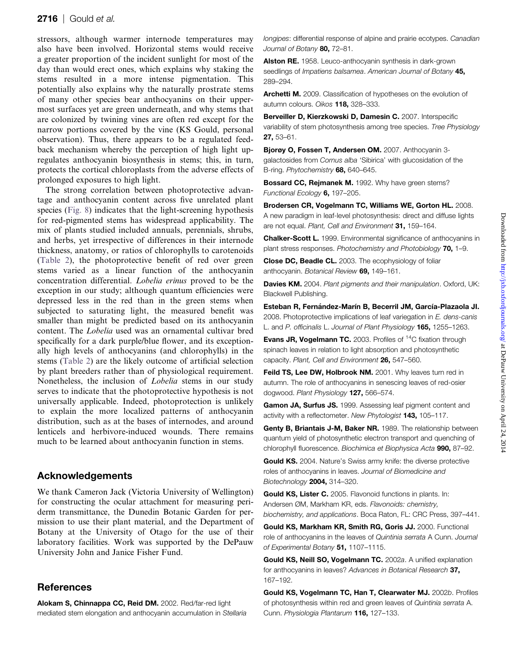### <span id="page-10-0"></span>**2716** Gould et al.

stressors, although warmer internode temperatures may also have been involved. Horizontal stems would receive a greater proportion of the incident sunlight for most of the day than would erect ones, which explains why staking the stems resulted in a more intense pigmentation. This potentially also explains why the naturally prostrate stems of many other species bear anthocyanins on their uppermost surfaces yet are green underneath, and why stems that are colonized by twining vines are often red except for the narrow portions covered by the vine (KS Gould, personal observation). Thus, there appears to be a regulated feedback mechanism whereby the perception of high light upregulates anthocyanin biosynthesis in stems; this, in turn, protects the cortical chloroplasts from the adverse effects of prolonged exposures to high light.

The strong correlation between photoprotective advantage and anthocyanin content across five unrelated plant species (Fig. 8) indicates that the light-screening hypothesis for red-pigmented stems has widespread applicability. The mix of plants studied included annuals, perennials, shrubs, and herbs, yet irrespective of differences in their internode thickness, anatomy, or ratios of chlorophylls to carotenoids ([Table 2](#page-8-0)), the photoprotective benefit of red over green stems varied as a linear function of the anthocyanin concentration differential. Lobelia erinus proved to be the exception in our study; although quantum efficiencies were depressed less in the red than in the green stems when subjected to saturating light, the measured benefit was smaller than might be predicted based on its anthocyanin content. The Lobelia used was an ornamental cultivar bred specifically for a dark purple/blue flower, and its exceptionally high levels of anthocyanins (and chlorophylls) in the stems ([Table 2](#page-8-0)) are the likely outcome of artificial selection by plant breeders rather than of physiological requirement. Nonetheless, the inclusion of Lobelia stems in our study serves to indicate that the photoprotective hypothesis is not universally applicable. Indeed, photoprotection is unlikely to explain the more localized patterns of anthocyanin distribution, such as at the bases of internodes, and around lenticels and herbivore-induced wounds. There remains much to be learned about anthocyanin function in stems.

## Acknowledgements

We thank Cameron Jack (Victoria University of Wellington) for constructing the ocular attachment for measuring periderm transmittance, the Dunedin Botanic Garden for permission to use their plant material, and the Department of Botany at the University of Otago for the use of their laboratory facilities. Work was supported by the DePauw University John and Janice Fisher Fund.

# **References**

Alokam S, Chinnappa CC, Reid DM. 2002. Red/far-red light mediated stem elongation and anthocyanin accumulation in Stellaria longipes: differential response of alpine and prairie ecotypes. Canadian Journal of Botany 80, 72-81.

Alston RE. 1958. Leuco-anthocyanin synthesis in dark-grown seedlings of Impatiens balsamea. American Journal of Botany 45, 289–294.

Archetti M. 2009. Classification of hypotheses on the evolution of autumn colours. Oikos 118, 328–333.

Berveiller D, Kierzkowski D, Damesin C. 2007. Interspecific variability of stem photosynthesis among tree species. Tree Physiology 27, 53–61.

Bjorøy O, Fossen T, Andersen OM. 2007. Anthocyanin 3 galactosides from Cornus alba 'Sibirica' with glucosidation of the B-ring. Phytochemistry 68, 640-645.

**Bossard CC, Rejmanek M.** 1992. Why have green stems? Functional Ecology 6, 197-205.

Brodersen CR, Vogelmann TC, Williams WE, Gorton HL. 2008. A new paradigm in leaf-level photosynthesis: direct and diffuse lights are not equal. Plant, Cell and Environment 31, 159-164.

Chalker-Scott L. 1999. Environmental significance of anthocyanins in plant stress responses. Photochemistry and Photobiology 70, 1-9.

Close DC, Beadle CL. 2003. The ecophysiology of foliar anthocyanin. Botanical Review 69, 149–161.

Davies KM. 2004. Plant pigments and their manipulation. Oxford, UK: Blackwell Publishing.

Esteban R, Fernández-Marín B, Becerril JM, García-Plazaola JI. 2008. Photoprotective implications of leaf variegation in E. dens-canis L. and P. officinalis L. Journal of Plant Physiology 165, 1255-1263.

**Evans JR, Vogelmann TC.** 2003. Profiles of <sup>14</sup>C fixation through spinach leaves in relation to light absorption and photosynthetic capacity. Plant, Cell and Environment 26, 547–560.

Feild TS, Lee DW, Holbrook NM. 2001. Why leaves turn red in autumn. The role of anthocyanins in senescing leaves of red-osier dogwood. Plant Physiology 127, 566-574.

Gamon JA, Surfus JS. 1999. Assessing leaf pigment content and activity with a reflectometer. New Phytologist 143, 105-117.

Genty B, Briantais J-M, Baker NR. 1989. The relationship between quantum yield of photosynthetic electron transport and quenching of chlorophyll fluorescence. Biochimica et Biophysica Acta 990, 87–92.

Gould KS. 2004. Nature's Swiss army knife: the diverse protective roles of anthocyanins in leaves. Journal of Biomedicine and Biotechnology 2004, 314-320.

Gould KS, Lister C. 2005. Flavonoid functions in plants. In: Andersen ØM, Markham KR, eds. Flavonoids: chemistry, biochemistry, and applications. Boca Raton, FL: CRC Press, 397–441.

Gould KS, Markham KR, Smith RG, Goris JJ. 2000. Functional role of anthocyanins in the leaves of Quintinia serrata A Cunn. Journal of Experimental Botany 51, 1107-1115.

Gould KS, Neill SO, Vogelmann TC. 2002a. A unified explanation for anthocyanins in leaves? Advances in Botanical Research 37, 167–192.

Gould KS, Vogelmann TC, Han T, Clearwater MJ. 2002b. Profiles of photosynthesis within red and green leaves of Quintinia serrata A. Cunn. Physiologia Plantarum 116, 127–133.